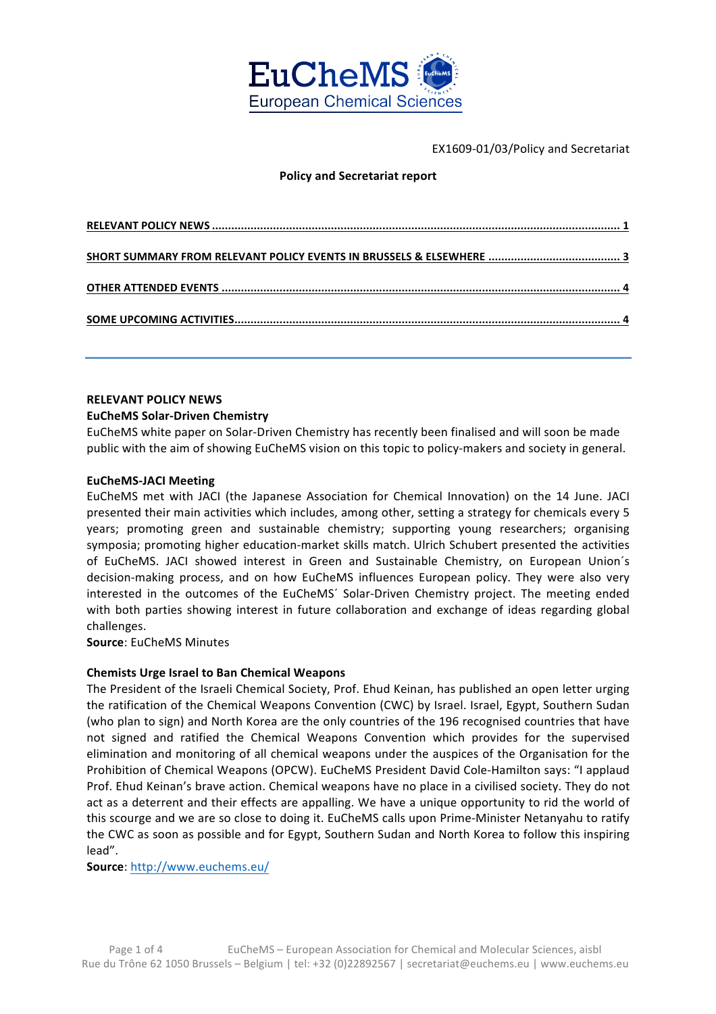

EX1609-01/03/Policy and Secretariat

# **Policy and Secretariat report**

# **RELEVANT POLICY NEWS**

#### **EuCheMS Solar-Driven Chemistry**

EuCheMS white paper on Solar-Driven Chemistry has recently been finalised and will soon be made public with the aim of showing EuCheMS vision on this topic to policy-makers and society in general.

#### **EuCheMS-JACI Meeting**

EuCheMS met with JACI (the Japanese Association for Chemical Innovation) on the 14 June. JACI presented their main activities which includes, among other, setting a strategy for chemicals every 5 years; promoting green and sustainable chemistry; supporting young researchers; organising symposia; promoting higher education-market skills match. Ulrich Schubert presented the activities of EuCheMS. JACI showed interest in Green and Sustainable Chemistry, on European Union's decision-making process, and on how EuCheMS influences European policy. They were also very interested in the outcomes of the EuCheMS' Solar-Driven Chemistry project. The meeting ended with both parties showing interest in future collaboration and exchange of ideas regarding global challenges. 

**Source:** EuCheMS Minutes

# **Chemists Urge Israel to Ban Chemical Weapons**

The President of the Israeli Chemical Society, Prof. Ehud Keinan, has published an open letter urging the ratification of the Chemical Weapons Convention (CWC) by Israel. Israel, Egypt, Southern Sudan (who plan to sign) and North Korea are the only countries of the 196 recognised countries that have not signed and ratified the Chemical Weapons Convention which provides for the supervised elimination and monitoring of all chemical weapons under the auspices of the Organisation for the Prohibition of Chemical Weapons (OPCW). EuCheMS President David Cole-Hamilton says: "I applaud Prof. Ehud Keinan's brave action. Chemical weapons have no place in a civilised society. They do not act as a deterrent and their effects are appalling. We have a unique opportunity to rid the world of this scourge and we are so close to doing it. EuCheMS calls upon Prime-Minister Netanyahu to ratify the CWC as soon as possible and for Egypt, Southern Sudan and North Korea to follow this inspiring lead".

**Source**: http://www.euchems.eu/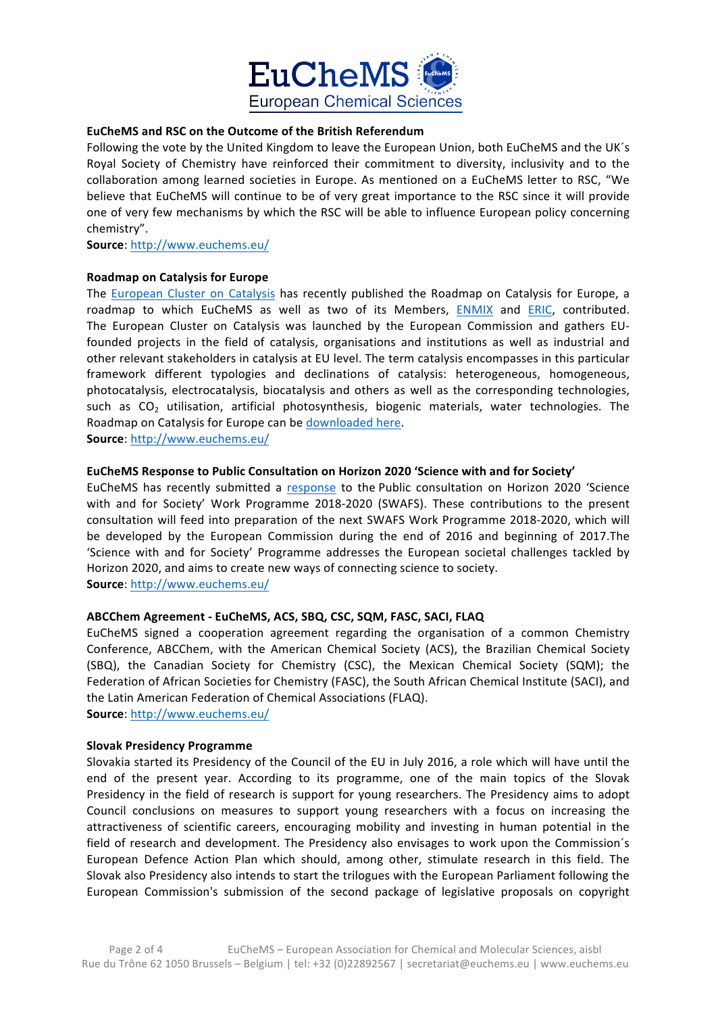

# **EuCheMS and RSC on the Outcome of the British Referendum**

Following the vote by the United Kingdom to leave the European Union, both EuCheMS and the UK's Royal Society of Chemistry have reinforced their commitment to diversity, inclusivity and to the collaboration among learned societies in Europe. As mentioned on a EuCheMS letter to RSC, "We believe that EuCheMS will continue to be of very great importance to the RSC since it will provide one of very few mechanisms by which the RSC will be able to influence European policy concerning chemistry". 

**Source**: http://www.euchems.eu/

#### **Roadmap on Catalysis for Europe**

The European Cluster on Catalysis has recently published the Roadmap on Catalysis for Europe, a roadmap to which EuCheMS as well as two of its Members, ENMIX and ERIC, contributed. The European Cluster on Catalysis was launched by the European Commission and gathers EUfounded projects in the field of catalysis, organisations and institutions as well as industrial and other relevant stakeholders in catalysis at EU level. The term catalysis encompasses in this particular framework different typologies and declinations of catalysis: heterogeneous, homogeneous, photocatalysis, electrocatalysis, biocatalysis and others as well as the corresponding technologies, such as  $CO<sub>2</sub>$  utilisation, artificial photosynthesis, biogenic materials, water technologies. The Roadmap on Catalysis for Europe can be downloaded here.

**Source**: http://www.euchems.eu/

#### EuCheMS Response to Public Consultation on Horizon 2020 'Science with and for Society'

EuCheMS has recently submitted a response to the Public consultation on Horizon 2020 'Science with and for Society' Work Programme 2018-2020 (SWAFS). These contributions to the present consultation will feed into preparation of the next SWAFS Work Programme 2018-2020, which will be developed by the European Commission during the end of 2016 and beginning of 2017.The 'Science with and for Society' Programme addresses the European societal challenges tackled by Horizon 2020, and aims to create new ways of connecting science to society.

**Source**: http://www.euchems.eu/

# **ABCChem Agreement - EuCheMS, ACS, SBQ, CSC, SQM, FASC, SACI, FLAQ**

EuCheMS signed a cooperation agreement regarding the organisation of a common Chemistry Conference, ABCChem, with the American Chemical Society (ACS), the Brazilian Chemical Society (SBQ), the Canadian Society for Chemistry (CSC), the Mexican Chemical Society (SQM); the Federation of African Societies for Chemistry (FASC), the South African Chemical Institute (SACI), and the Latin American Federation of Chemical Associations (FLAQ).

**Source**: http://www.euchems.eu/

#### **Slovak Presidency Programme**

Slovakia started its Presidency of the Council of the EU in July 2016, a role which will have until the end of the present year. According to its programme, one of the main topics of the Slovak Presidency in the field of research is support for young researchers. The Presidency aims to adopt Council conclusions on measures to support young researchers with a focus on increasing the attractiveness of scientific careers, encouraging mobility and investing in human potential in the field of research and development. The Presidency also envisages to work upon the Commission's European Defence Action Plan which should, among other, stimulate research in this field. The Slovak also Presidency also intends to start the trilogues with the European Parliament following the European Commission's submission of the second package of legislative proposals on copyright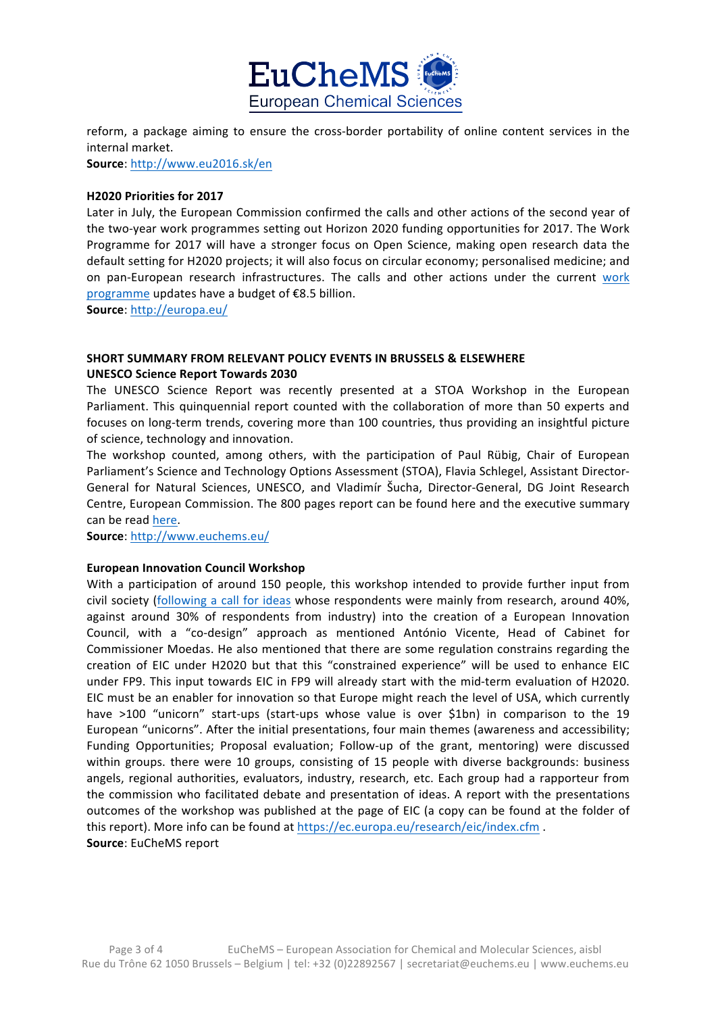

reform, a package aiming to ensure the cross-border portability of online content services in the internal market.

**Source**: http://www.eu2016.sk/en

#### **H2020 Priorities for 2017**

Later in July, the European Commission confirmed the calls and other actions of the second year of the two-year work programmes setting out Horizon 2020 funding opportunities for 2017. The Work Programme for 2017 will have a stronger focus on Open Science, making open research data the default setting for H2020 projects; it will also focus on circular economy; personalised medicine; and on pan-European research infrastructures. The calls and other actions under the current work programme updates have a budget of €8.5 billion.

**Source**: http://europa.eu/

# **SHORT SUMMARY FROM RELEVANT POLICY EVENTS IN BRUSSELS & ELSEWHERE**

**UNESCO Science Report Towards 2030**

The UNESCO Science Report was recently presented at a STOA Workshop in the European Parliament. This quinquennial report counted with the collaboration of more than 50 experts and focuses on long-term trends, covering more than 100 countries, thus providing an insightful picture of science, technology and innovation.

The workshop counted, among others, with the participation of Paul Rübig, Chair of European Parliament's Science and Technology Options Assessment (STOA), Flavia Schlegel, Assistant Director-General for Natural Sciences, UNESCO, and Vladimír Šucha, Director-General, DG Joint Research Centre, European Commission. The 800 pages report can be found here and the executive summary can be read here.

**Source**: http://www.euchems.eu/

# **European Innovation Council Workshop**

With a participation of around 150 people, this workshop intended to provide further input from civil society (following a call for ideas whose respondents were mainly from research, around 40%, against around 30% of respondents from industry) into the creation of a European Innovation Council, with a "co-design" approach as mentioned António Vicente, Head of Cabinet for Commissioner Moedas. He also mentioned that there are some regulation constrains regarding the creation of EIC under H2020 but that this "constrained experience" will be used to enhance EIC under FP9. This input towards EIC in FP9 will already start with the mid-term evaluation of H2020. EIC must be an enabler for innovation so that Europe might reach the level of USA, which currently have >100 "unicorn" start-ups (start-ups whose value is over \$1bn) in comparison to the 19 European "unicorns". After the initial presentations, four main themes (awareness and accessibility; Funding Opportunities; Proposal evaluation; Follow-up of the grant, mentoring) were discussed within groups. there were 10 groups, consisting of 15 people with diverse backgrounds: business angels, regional authorities, evaluators, industry, research, etc. Each group had a rapporteur from the commission who facilitated debate and presentation of ideas. A report with the presentations outcomes of the workshop was published at the page of EIC (a copy can be found at the folder of this report). More info can be found at https://ec.europa.eu/research/eic/index.cfm. **Source:** EuCheMS report